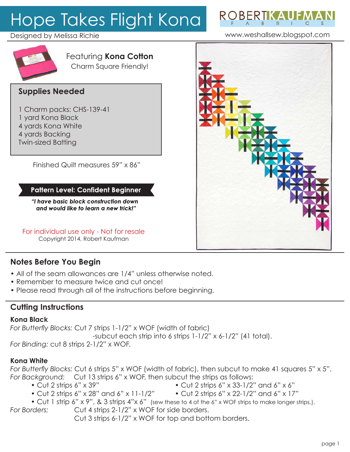# Hope Takes Flight Kona



www.weshallsew.blogspot.com

## Designed by Melissa Richie



#### Featuring **Kona Cotton** Charm Square Friendly!

# **Supplies Needed**

- 1 Charm packs: CHS-139-41
- 1 yard Kona Black
- 4 yards Kona White
- 4 yards Backing
- Twin-sized Batting

Finished Quilt measures 59" x 86"

## **Pattern Level: Confident Beginner**

*"I have basic block construction down and would like to learn a new trick!"*

For individual use only - Not for resale Copyright 2014, Robert Kaufman

# **Notes Before You Begin**

- All of the seam allowances are 1/4" unless otherwise noted.
- Remember to measure twice and cut once!
- Please read through all of the instructions before beginning.

# **Cutting Instructions**

#### **Kona Black**

*For Butterfly Blocks:* Cut 7 strips 1-1/2" x WOF (width of fabric) -subcut each strip into 6 strips 1-1/2" x 6-1/2" (41 total).

*For Binding:* cut 8 strips 2-1/2" x WOF.

### **Kona White**

*For Butterfly Blocks:* Cut 6 strips 5" x WOF (width of fabric), then subcut to make 41 squares 5" x 5". *For Background:* Cut 13 strips 6" x WOF, then subcut the strips as follows:

- 
- Cut 2 strips 6" x 39" Cut 2 strips 6" x 33-1/2" and 6" x 6"
- Cut 2 strips 6" x 28" and 6" x 11-1/2" Cut 2 strips 6" x 22-1/2" and 6" x 17"
	-
- Cut 1 strip 6" x 9", & 3 strips 4"x 6" (sew these to 4 of the 6" x WOF strips to make longer strips.).
- *For Borders:* Cut 4 strips 2-1/2" x WOF for side borders.

Cut 3 strips 6-1/2" x WOF for top and bottom borders.

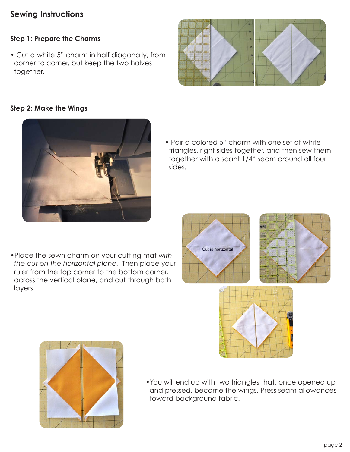# **Sewing Instructions**

#### **Step 1: Prepare the Charms**

• Cut a white 5" charm in half diagonally, from corner to corner, but keep the two halves together.

#### **Step 2: Make the Wings**



•Place the sewn charm on your cutting mat *with the cut on the horizontal plane.* Then place your ruler from the top corner to the bottom corner, across the vertical plane, and cut through both layers.

Cut is horizontal

• Pair a colored 5" charm with one set of white triangles, right sides together, and then sew them together with a scant 1/4" seam around all four sides.

•You will end up with two triangles that, once opened up and pressed, become the wings. Press seam allowances toward background fabric.









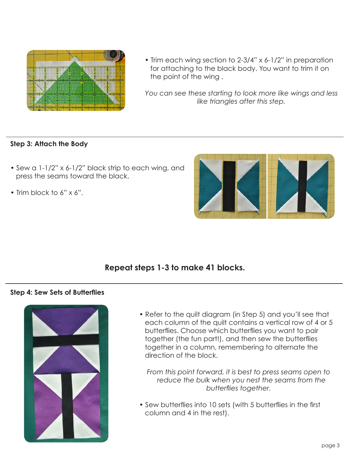

• Trim each wing section to 2-3/4" x 6-1/2" in preparation for attaching to the black body. You want to trim it on the point of the wing .

*You can see these starting to look more like wings and less like triangles after this step.*

#### **Step 3: Attach the Body**

- Sew a 1-1/2" x 6-1/2" black strip to each wing, and press the seams toward the black.
- Trim block to 6" x 6".



## **Repeat steps 1-3 to make 41 blocks.**

#### **Step 4: Sew Sets of Butterflies**



• Refer to the quilt diagram (in Step 5) and you'll see that each column of the quilt contains a vertical row of 4 or 5 butterflies. Choose which butterflies you want to pair together (the fun part!), and then sew the butterflies together in a column, remembering to alternate the direction of the block.

*From this point forward, it is best to press seams open to reduce the bulk when you nest the seams from the butterflies together.*

• Sew butterflies into 10 sets (with 5 butterflies in the first column and 4 in the rest).